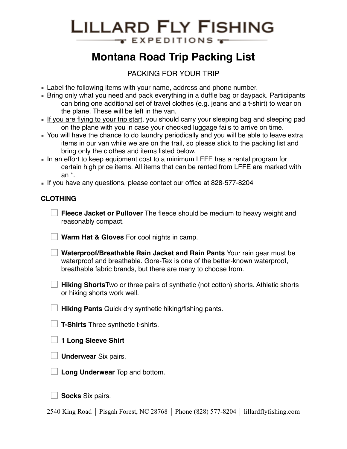# **LILLARD FLY FISHING** EXPEDITIONS -

# **Montana Road Trip Packing List**

## PACKING FOR YOUR TRIP

- **Example 1** Label the following items with your name, address and phone number.
- **E** Bring only what you need and pack everything in a duffle bag or daypack. Participants can bring one additional set of travel clothes (e.g. jeans and a t-shirt) to wear on the plane. These will be left in the van.
- **.** If you are flying to your trip start, you should carry your sleeping bag and sleeping pad on the plane with you in case your checked luggage fails to arrive on time.
- You will have the chance to do laundry periodically and you will be able to leave extra items in our van while we are on the trail, so please stick to the packing list and bring only the clothes and items listed below.
- In an effort to keep equipment cost to a minimum LFFE has a rental program for certain high price items. All items that can be rented from LFFE are marked with an \*.
- If you have any questions, please contact our office at 828-577-8204

## **CLOTHING**

☐ **Fleece Jacket or Pullover** The fleece should be medium to heavy weight and reasonably compact.

☐ **Warm Hat & Gloves** For cool nights in camp.

☐ **Waterproof/Breathable Rain Jacket and Rain Pants** Your rain gear must be waterproof and breathable. Gore-Tex is one of the better-known waterproof, breathable fabric brands, but there are many to choose from.

**Hiking Shorts**Two or three pairs of synthetic (not cotton) shorts. Athletic shorts or hiking shorts work well.

☐ **Hiking Pants** Quick dry synthetic hiking/fishing pants.

☐ **T-Shirts** Three synthetic t-shirts.

☐ **1 Long Sleeve Shirt** 

☐ **Underwear** Six pairs.



☐ **Socks** Six pairs.

2540 King Road ⏐ Pisgah Forest, NC 28768 ⏐ Phone (828) 577-8204 ⏐ lillardflyfishing.com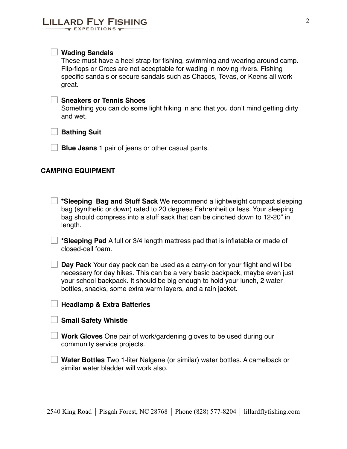#### ☐ **Wading Sandals**

These must have a heel strap for fishing, swimming and wearing around camp. Flip-flops or Crocs are not acceptable for wading in moving rivers. Fishing specific sandals or secure sandals such as Chacos, Tevas, or Keens all work great.

#### ☐ **Sneakers or Tennis Shoes**

Something you can do some light hiking in and that you don't mind getting dirty and wet.

☐ **Bathing Suit**

☐ **Blue Jeans** 1 pair of jeans or other casual pants.

#### **CAMPING EQUIPMENT**

| *Sleeping Bag and Stuff Sack We recommend a lightweight compact sleeping      |
|-------------------------------------------------------------------------------|
| bag (synthetic or down) rated to 20 degrees Fahrenheit or less. Your sleeping |
| bag should compress into a stuff sack that can be cinched down to 12-20" in   |
| length.                                                                       |

☐ **\*Sleeping Pad** A full or 3/4 length mattress pad that is inflatable or made of closed-cell foam.

☐ **Day Pack** Your day pack can be used as a carry-on for your flight and will be necessary for day hikes. This can be a very basic backpack, maybe even just your school backpack. It should be big enough to hold your lunch, 2 water bottles, snacks, some extra warm layers, and a rain jacket.

#### ☐ **Headlamp & Extra Batteries**

#### ☐ **Small Safety Whistle**

☐ **Work Gloves** One pair of work/gardening gloves to be used during our community service projects.

☐ **Water Bottles** Two 1-liter Nalgene (or similar) water bottles. A camelback or similar water bladder will work also.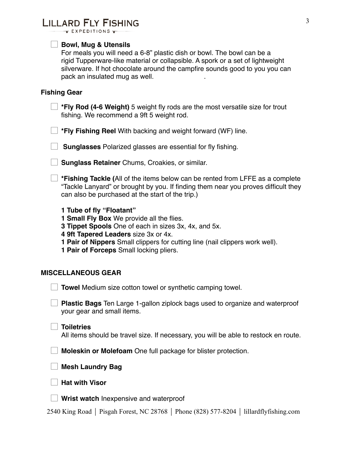## **LILLARD FLY FISHING**

 $\tau$  EXPEDITIONS  $\tau$ 

#### ☐ **Bowl, Mug & Utensils**

For meals you will need a 6-8" plastic dish or bowl. The bowl can be a rigid Tupperware-like material or collapsible. A spork or a set of lightweight silverware. If hot chocolate around the campfire sounds good to you you can pack an insulated mug as well.

#### **Fishing Gear**

☐ **\*Fly Rod (4-6 Weight)** 5 weight fly rods are the most versatile size for trout fishing. We recommend a 9ft 5 weight rod.

☐ **\*Fly Fishing Reel** With backing and weight forward (WF) line.

☐ **Sunglasses** Polarized glasses are essential for fly fishing.

**□ Sunglass Retainer** Chums, Croakies, or similar.

☐ **\*Fishing Tackle (**All of the items below can be rented from LFFE as a complete "Tackle Lanyard" or brought by you. If finding them near you proves difficult they can also be purchased at the start of the trip.)

**1 Tube of fly "Floatant"**

**1 Small Fly Box** We provide all the flies.

**3 Tippet Spools** One of each in sizes 3x, 4x, and 5x.

**4 9ft Tapered Leaders** size 3x or 4x.

**1 Pair of Nippers** Small clippers for cutting line (nail clippers work well).

**1 Pair of Forceps** Small locking pliers.

#### **MISCELLANEOUS GEAR**

☐ **Towel** Medium size cotton towel or synthetic camping towel.

☐ **Plastic Bags** Ten Large 1-gallon ziplock bags used to organize and waterproof your gear and small items.

#### ☐ **Toiletries**

All items should be travel size. If necessary, you will be able to restock en route.

☐ **Moleskin or Molefoam** One full package for blister protection.

☐ **Mesh Laundry Bag**

☐ **Hat with Visor**

☐ **Wrist watch** Inexpensive and waterproof

2540 King Road ⏐ Pisgah Forest, NC 28768 ⏐ Phone (828) 577-8204 ⏐ lillardflyfishing.com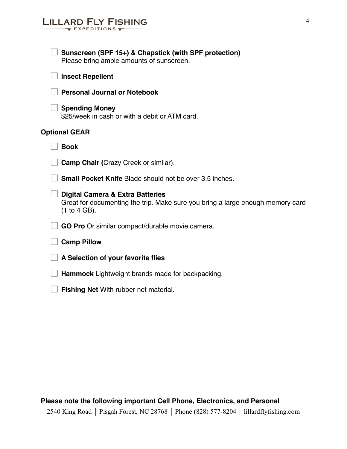